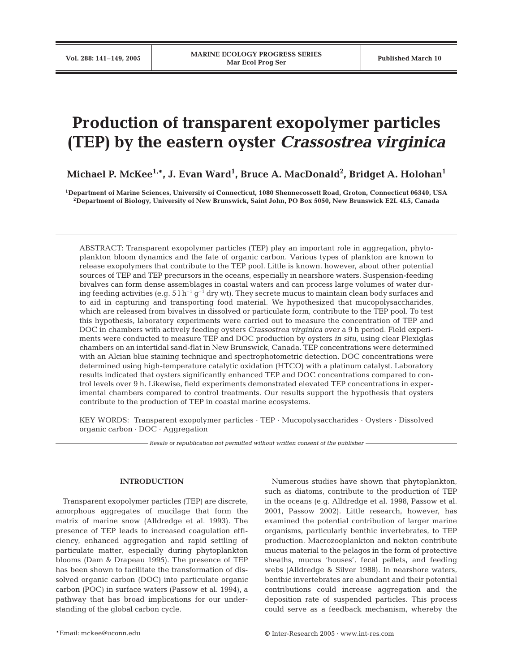# **Production of transparent exopolymer particles (TEP) by the eastern oyster** *Crassostrea virginica*

**Michael P. McKee1,\*, J. Evan Ward1 , Bruce A. MacDonald2 , Bridget A. Holohan1**

**1Department of Marine Sciences, University of Connecticut, 1080 Shennecossett Road, Groton, Connecticut 06340, USA 2Department of Biology, University of New Brunswick, Saint John, PO Box 5050, New Brunswick E2L 4L5, Canada**

ABSTRACT: Transparent exopolymer particles (TEP) play an important role in aggregation, phytoplankton bloom dynamics and the fate of organic carbon. Various types of plankton are known to release exopolymers that contribute to the TEP pool. Little is known, however, about other potential sources of TEP and TEP precursors in the oceans, especially in nearshore waters. Suspension-feeding bivalves can form dense assemblages in coastal waters and can process large volumes of water during feeding activities (e.g.  $51 h^{-1} g^{-1}$  dry wt). They secrete mucus to maintain clean body surfaces and to aid in capturing and transporting food material. We hypothesized that mucopolysaccharides, which are released from bivalves in dissolved or particulate form, contribute to the TEP pool. To test this hypothesis, laboratory experiments were carried out to measure the concentration of TEP and DOC in chambers with actively feeding oysters *Crassostrea virginica* over a 9 h period. Field experiments were conducted to measure TEP and DOC production by oysters *in situ*, using clear Plexiglas chambers on an intertidal sand-flat in New Brunswick, Canada. TEP concentrations were determined with an Alcian blue staining technique and spectrophotometric detection. DOC concentrations were determined using high-temperature catalytic oxidation (HTCO) with a platinum catalyst. Laboratory results indicated that oysters significantly enhanced TEP and DOC concentrations compared to control levels over 9 h. Likewise, field experiments demonstrated elevated TEP concentrations in experimental chambers compared to control treatments. Our results support the hypothesis that oysters contribute to the production of TEP in coastal marine ecosystems.

KEY WORDS: Transparent exopolymer particles · TEP · Mucopolysaccharides · Oysters · Dissolved organic carbon · DOC · Aggregation

*Resale or republication not permitted without written consent of the publisher*

## **INTRODUCTION**

Transparent exopolymer particles (TEP) are discrete, amorphous aggregates of mucilage that form the matrix of marine snow (Alldredge et al. 1993). The presence of TEP leads to increased coagulation efficiency, enhanced aggregation and rapid settling of particulate matter, especially during phytoplankton blooms (Dam & Drapeau 1995). The presence of TEP has been shown to facilitate the transformation of dissolved organic carbon (DOC) into particulate organic carbon (POC) in surface waters (Passow et al. 1994), a pathway that has broad implications for our understanding of the global carbon cycle.

Numerous studies have shown that phytoplankton, such as diatoms, contribute to the production of TEP in the oceans (e.g. Alldredge et al. 1998, Passow et al. 2001, Passow 2002). Little research, however, has examined the potential contribution of larger marine organisms, particularly benthic invertebrates, to TEP production. Macrozooplankton and nekton contribute mucus material to the pelagos in the form of protective sheaths, mucus 'houses', fecal pellets, and feeding webs (Alldredge & Silver 1988). In nearshore waters, benthic invertebrates are abundant and their potential contributions could increase aggregation and the deposition rate of suspended particles. This process could serve as a feedback mechanism, whereby the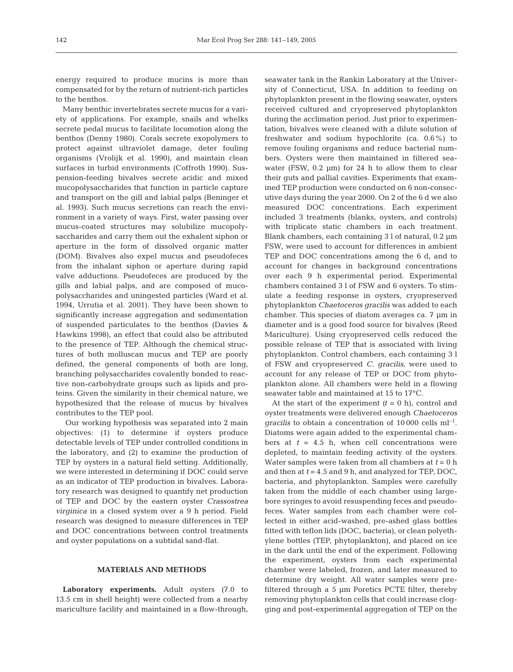energy required to produce mucins is more than compensated for by the return of nutrient-rich particles to the benthos.

Many benthic invertebrates secrete mucus for a variety of applications. For example, snails and whelks secrete pedal mucus to facilitate locomotion along the benthos (Denny 1980). Corals secrete exopolymers to protect against ultraviolet damage, deter fouling organisms (Vrolijk et al. 1990), and maintain clean surfaces in turbid environments (Coffroth 1990). Suspension-feeding bivalves secrete acidic and mixed mucopolysaccharides that function in particle capture and transport on the gill and labial palps (Beninger et al. 1993). Such mucus secretions can reach the environment in a variety of ways. First, water passing over mucus-coated structures may solubilize mucopolysaccharides and carry them out the exhalent siphon or aperture in the form of dissolved organic matter (DOM). Bivalves also expel mucus and pseudofeces from the inhalant siphon or aperture during rapid valve adductions. Pseudofeces are produced by the gills and labial palps, and are composed of mucopolysaccharides and uningested particles (Ward et al. 1994, Urrutia et al. 2001). They have been shown to significantly increase aggregation and sedimentation of suspended particulates to the benthos (Davies & Hawkins 1998), an effect that could also be attributed to the presence of TEP. Although the chemical structures of both molluscan mucus and TEP are poorly defined, the general components of both are long, branching polysaccharides covalently bonded to reactive non-carbohydrate groups such as lipids and proteins. Given the similarity in their chemical nature, we hypothesized that the release of mucus by bivalves contributes to the TEP pool.

Our working hypothesis was separated into 2 main objectives: (1) to determine if oysters produce detectable levels of TEP under controlled conditions in the laboratory, and (2) to examine the production of TEP by oysters in a natural field setting. Additionally, we were interested in determining if DOC could serve as an indicator of TEP production in bivalves. Laboratory research was designed to quantify net production of TEP and DOC by the eastern oyster *Crassostrea virginica* in a closed system over a 9 h period. Field research was designed to measure differences in TEP and DOC concentrations between control treatments and oyster populations on a subtidal sand-flat.

## **MATERIALS AND METHODS**

**Laboratory experiments.** Adult oysters (7.0 to 13.5 cm in shell height) were collected from a nearby mariculture facility and maintained in a flow-through,

seawater tank in the Rankin Laboratory at the University of Connecticut, USA. In addition to feeding on phytoplankton present in the flowing seawater, oysters received cultured and cryopreserved phytoplankton during the acclimation period. Just prior to experimentation, bivalves were cleaned with a dilute solution of freshwater and sodium hypochlorite (ca. 0.6%) to remove fouling organisms and reduce bacterial numbers. Oysters were then maintained in filtered seawater (FSW, 0.2 µm) for 24 h to allow them to clear their guts and pallial cavities. Experiments that examined TEP production were conducted on 6 non-consecutive days during the year 2000. On 2 of the 6 d we also measured DOC concentrations. Each experiment included 3 treatments (blanks, oysters, and controls) with triplicate static chambers in each treatment. Blank chambers, each containing 3 l of natural, 0.2 µm FSW, were used to account for differences in ambient TEP and DOC concentrations among the 6 d, and to account for changes in background concentrations over each 9 h experimental period. Experimental chambers contained 3 l of FSW and 6 oysters. To stimulate a feeding response in oysters, cryopreserved phytoplankton *Chaetoceros gracilis* was added to each chamber. This species of diatom averages ca. 7 µm in diameter and is a good food source for bivalves (Reed Mariculture). Using cryopreserved cells reduced the possible release of TEP that is associated with living phytoplankton. Control chambers, each containing 3 l of FSW and cryopreserved *C. gracilis*, were used to account for any release of TEP or DOC from phytoplankton alone. All chambers were held in a flowing seawater table and maintained at 15 to 17°C.

At the start of the experiment  $(t = 0 h)$ , control and oyster treatments were delivered enough *Chaetoceros gracilis* to obtain a concentration of 10000 cells  $ml^{-1}$ . Diatoms were again added to the experimental chambers at  $t = 4.5$  h, when cell concentrations were depleted, to maintain feeding activity of the oysters. Water samples were taken from all chambers at *t* = 0 h and then at *t* = 4.5 and 9 h, and analyzed for TEP, DOC, bacteria, and phytoplankton. Samples were carefully taken from the middle of each chamber using largebore syringes to avoid resuspending feces and pseudofeces. Water samples from each chamber were collected in either acid-washed, pre-ashed glass bottles fitted with teflon lids (DOC, bacteria), or clean polyethylene bottles (TEP, phytoplankton), and placed on ice in the dark until the end of the experiment. Following the experiment, oysters from each experimental chamber were labeled, frozen, and later measured to determine dry weight. All water samples were prefiltered through a 5 µm Poretics PCTE filter, thereby removing phytoplankton cells that could increase clogging and post-experimental aggregation of TEP on the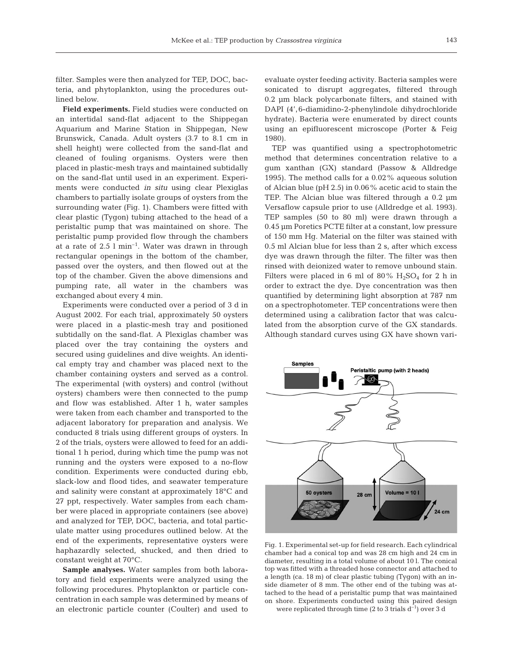**Field experiments.** Field studies were conducted on an intertidal sand-flat adjacent to the Shippegan Aquarium and Marine Station in Shippegan, New Brunswick, Canada. Adult oysters (3.7 to 8.1 cm in shell height) were collected from the sand-flat and cleaned of fouling organisms. Oysters were then placed in plastic-mesh trays and maintained subtidally on the sand-flat until used in an experiment. Experiments were conducted *in situ* using clear Plexiglas chambers to partially isolate groups of oysters from the surrounding water (Fig. 1). Chambers were fitted with clear plastic (Tygon) tubing attached to the head of a peristaltic pump that was maintained on shore. The peristaltic pump provided flow through the chambers at a rate of  $2.5$  l min<sup>-1</sup>. Water was drawn in through rectangular openings in the bottom of the chamber, passed over the oysters, and then flowed out at the top of the chamber. Given the above dimensions and pumping rate, all water in the chambers was exchanged about every 4 min.

Experiments were conducted over a period of 3 d in August 2002. For each trial, approximately 50 oysters were placed in a plastic-mesh tray and positioned subtidally on the sand-flat. A Plexiglas chamber was placed over the tray containing the oysters and secured using guidelines and dive weights. An identical empty tray and chamber was placed next to the chamber containing oysters and served as a control. The experimental (with oysters) and control (without oysters) chambers were then connected to the pump and flow was established. After 1 h, water samples were taken from each chamber and transported to the adjacent laboratory for preparation and analysis. We conducted 8 trials using different groups of oysters. In 2 of the trials, oysters were allowed to feed for an additional 1 h period, during which time the pump was not running and the oysters were exposed to a no-flow condition. Experiments were conducted during ebb, slack-low and flood tides, and seawater temperature and salinity were constant at approximately 18°C and 27 ppt, respectively. Water samples from each chamber were placed in appropriate containers (see above) and analyzed for TEP, DOC, bacteria, and total particulate matter using procedures outlined below. At the end of the experiments, representative oysters were haphazardly selected, shucked, and then dried to constant weight at 70°C.

**Sample analyses.** Water samples from both laboratory and field experiments were analyzed using the following procedures. Phytoplankton or particle concentration in each sample was determined by means of an electronic particle counter (Coulter) and used to

evaluate oyster feeding activity. Bacteria samples were sonicated to disrupt aggregates, filtered through 0.2 µm black polycarbonate filters, and stained with DAPI (4',6-diamidino-2-phenylindole dihydrochloride hydrate). Bacteria were enumerated by direct counts using an epifluorescent microscope (Porter & Feig 1980).

TEP was quantified using a spectrophotometric method that determines concentration relative to a gum xanthan (GX) standard (Passow & Alldredge 1995). The method calls for a 0.02% aqueous solution of Alcian blue (pH 2.5) in 0.06% acetic acid to stain the TEP. The Alcian blue was filtered through a 0.2 µm Versaflow capsule prior to use (Alldredge et al. 1993). TEP samples (50 to 80 ml) were drawn through a 0.45 µm Poretics PCTE filter at a constant, low pressure of 150 mm Hg. Material on the filter was stained with 0.5 ml Alcian blue for less than 2 s, after which excess dye was drawn through the filter. The filter was then rinsed with deionized water to remove unbound stain. Filters were placed in 6 ml of 80%  $H_2SO_4$  for 2 h in order to extract the dye. Dye concentration was then quantified by determining light absorption at 787 nm on a spectrophotometer. TEP concentrations were then determined using a calibration factor that was calculated from the absorption curve of the GX standards. Although standard curves using GX have shown vari-



Fig. 1. Experimental set-up for field research. Each cylindrical chamber had a conical top and was 28 cm high and 24 cm in diameter, resulting in a total volume of about 10 l. The conical top was fitted with a threaded hose connector and attached to a length (ca. 18 m) of clear plastic tubing (Tygon) with an inside diameter of 8 mm. The other end of the tubing was attached to the head of a peristaltic pump that was maintained on shore. Experiments conducted using this paired design were replicated through time (2 to 3 trials  $d^{-1}$ ) over 3 d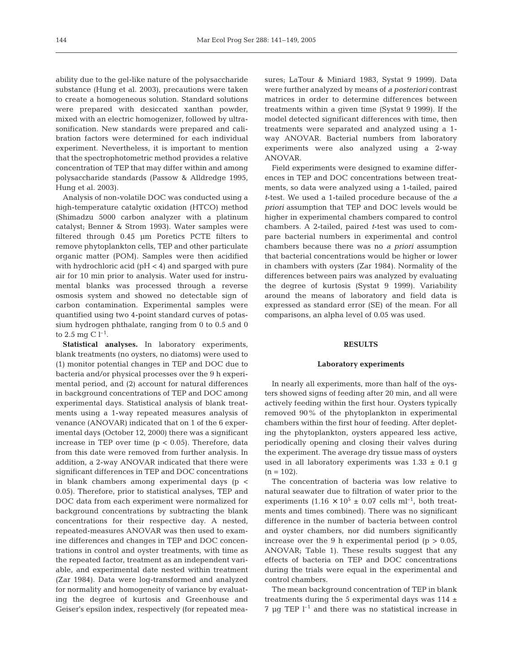ability due to the gel-like nature of the polysaccharide substance (Hung et al. 2003), precautions were taken to create a homogeneous solution. Standard solutions were prepared with desiccated xanthan powder, mixed with an electric homogenizer, followed by ultrasonification. New standards were prepared and calibration factors were determined for each individual experiment. Nevertheless, it is important to mention that the spectrophotometric method provides a relative concentration of TEP that may differ within and among polysaccharide standards (Passow & Alldredge 1995, Hung et al. 2003).

Analysis of non-volatile DOC was conducted using a high-temperature catalytic oxidation (HTCO) method (Shimadzu 5000 carbon analyzer with a platinum catalyst; Benner & Strom 1993). Water samples were filtered through 0.45 µm Poretics PCTE filters to remove phytoplankton cells, TEP and other particulate organic matter (POM). Samples were then acidified with hydrochloric acid (pH < 4) and sparged with pure air for 10 min prior to analysis. Water used for instrumental blanks was processed through a reverse osmosis system and showed no detectable sign of carbon contamination. Experimental samples were quantified using two 4-point standard curves of potassium hydrogen phthalate, ranging from 0 to 0.5 and 0 to 2.5 mg C  $l^{-1}$ .

**Statistical analyses.** In laboratory experiments, blank treatments (no oysters, no diatoms) were used to (1) monitor potential changes in TEP and DOC due to bacteria and/or physical processes over the 9 h experimental period, and (2) account for natural differences in background concentrations of TEP and DOC among experimental days. Statistical analysis of blank treatments using a 1-way repeated measures analysis of venance (ANOVAR) indicated that on 1 of the 6 experimental days (October 12, 2000) there was a significant increase in TEP over time  $(p < 0.05)$ . Therefore, data from this date were removed from further analysis. In addition, a 2-way ANOVAR indicated that there were significant differences in TEP and DOC concentrations in blank chambers among experimental days (p < 0.05). Therefore, prior to statistical analyses, TEP and DOC data from each experiment were normalized for background concentrations by subtracting the blank concentrations for their respective day. A nested, repeated-measures ANOVAR was then used to examine differences and changes in TEP and DOC concentrations in control and oyster treatments, with time as the repeated factor, treatment as an independent variable, and experimental date nested within treatment (Zar 1984). Data were log-transformed and analyzed for normality and homogeneity of variance by evaluating the degree of kurtosis and Greenhouse and Geiser's epsilon index, respectively (for repeated measures; LaTour & Miniard 1983, Systat 9 1999). Data were further analyzed by means of *a posteriori* contrast matrices in order to determine differences between treatments within a given time (Systat 9 1999). If the model detected significant differences with time, then treatments were separated and analyzed using a 1 way ANOVAR. Bacterial numbers from laboratory experiments were also analyzed using a 2-way ANOVAR.

Field experiments were designed to examine differences in TEP and DOC concentrations between treatments, so data were analyzed using a 1-tailed, paired *t*-test. We used a 1-tailed procedure because of the *a priori* assumption that TEP and DOC levels would be higher in experimental chambers compared to control chambers. A 2-tailed, paired *t*-test was used to compare bacterial numbers in experimental and control chambers because there was no *a priori* assumption that bacterial concentrations would be higher or lower in chambers with oysters (Zar 1984). Normality of the differences between pairs was analyzed by evaluating the degree of kurtosis (Systat 9 1999). Variability around the means of laboratory and field data is expressed as standard error (SE) of the mean. For all comparisons, an alpha level of 0.05 was used.

# **RESULTS**

#### **Laboratory experiments**

In nearly all experiments, more than half of the oysters showed signs of feeding after 20 min, and all were actively feeding within the first hour. Oysters typically removed 90% of the phytoplankton in experimental chambers within the first hour of feeding. After depleting the phytoplankton, oysters appeared less active, periodically opening and closing their valves during the experiment. The average dry tissue mass of oysters used in all laboratory experiments was  $1.33 \pm 0.1$  g  $(n = 102)$ .

The concentration of bacteria was low relative to natural seawater due to filtration of water prior to the experiments  $(1.16 \times 10^5 \pm 0.07 \text{ cells m}^{-1})$ , both treatments and times combined). There was no significant difference in the number of bacteria between control and oyster chambers, nor did numbers significantly increase over the 9 h experimental period ( $p > 0.05$ , ANOVAR; Table 1). These results suggest that any effects of bacteria on TEP and DOC concentrations during the trials were equal in the experimental and control chambers.

The mean background concentration of TEP in blank treatments during the 5 experimental days was  $114 \pm$  $7 \mu$ g TEP  $l^{-1}$  and there was no statistical increase in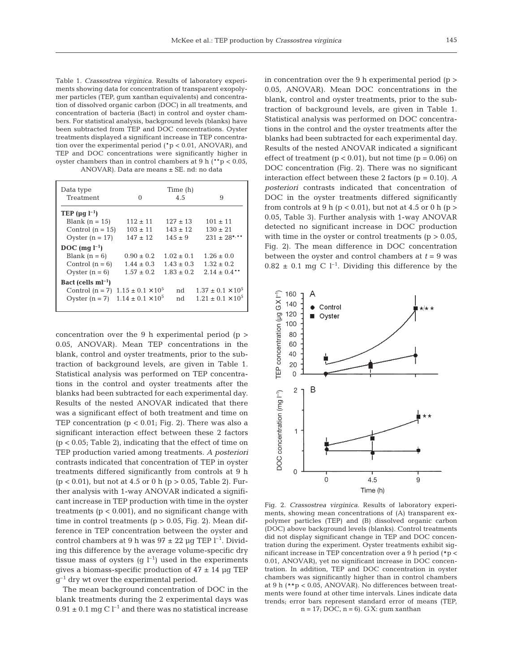Table 1. *Crassostrea virginica.* Results of laboratory experiments showing data for concentration of transparent exopolymer particles (TEP, gum xanthan equivalents) and concentration of dissolved organic carbon (DOC) in all treatments, and concentration of bacteria (Bact) in control and oyster chambers. For statistical analysis, background levels (blanks) have been subtracted from TEP and DOC concentrations. Oyster treatments displayed a significant increase in TEP concentration over the experimental period (\*p < 0.01, ANOVAR), and TEP and DOC concentrations were significantly higher in oyster chambers than in control chambers at 9 h (\*\*p < 0.05, ANOVAR). Data are means ± SE. nd: no data

| Data type<br>Treatment          | $\Omega$                   | Time (h)<br>4.5 | 9                          |
|---------------------------------|----------------------------|-----------------|----------------------------|
| TEP ( $\mu$ g l <sup>-1</sup> ) |                            |                 |                            |
| Blank $(n = 15)$                | $112 \pm 11$               | $127 \pm 13$    | $101 \pm 11$               |
| Control $(n = 15)$              | $103 \pm 11$               | $143 + 12$      | $130 \pm 21$               |
| Oyster $(n = 17)$               | $147 \pm 12$               | $145 + 9$       | $231 + 28$ */**            |
| $DOC$ (mq $l^{-1}$ )            |                            |                 |                            |
| Blank $(n = 6)$                 | $0.90 \pm 0.2$             | $1.02 \pm 0.1$  | $1.26 \pm 0.0$             |
| Control $(n = 6)$               | $1.44 \pm 0.3$             | $1.43 \pm 0.3$  | $1.32 \pm 0.2$             |
| Oyster $(n = 6)$                | $1.57 \pm 0.2$             | $1.83 \pm 0.2$  | $2.14 + 0.4$ **            |
| Bact (cells $ml^{-1}$ )         |                            |                 |                            |
| Control $(n = 7)$               | $1.15 \pm 0.1 \times 10^5$ | nd              | $1.37 \pm 0.1 \times 10^5$ |
| Oyster $(n = 7)$                | $1.14 \pm 0.1 \times 10^5$ | nd              | $1.21 + 0.1 \times 10^5$   |

concentration over the 9 h experimental period (p > 0.05, ANOVAR). Mean TEP concentrations in the blank, control and oyster treatments, prior to the subtraction of background levels, are given in Table 1. Statistical analysis was performed on TEP concentrations in the control and oyster treatments after the blanks had been subtracted for each experimental day. Results of the nested ANOVAR indicated that there was a significant effect of both treatment and time on TEP concentration  $(p < 0.01$ ; Fig. 2). There was also a significant interaction effect between these 2 factors (p < 0.05; Table 2), indicating that the effect of time on TEP production varied among treatments. *A posteriori* contrasts indicated that concentration of TEP in oyster treatments differed significantly from controls at 9 h  $(p < 0.01)$ , but not at 4.5 or 0 h  $(p > 0.05,$  Table 2). Further analysis with 1-way ANOVAR indicated a significant increase in TEP production with time in the oyster treatments  $(p < 0.001)$ , and no significant change with time in control treatments ( $p > 0.05$ , Fig. 2). Mean difference in TEP concentration between the oyster and control chambers at 9 h was  $97 \pm 22$  µg TEP l<sup>-1</sup>. Dividing this difference by the average volume-specific dry tissue mass of oysters (g  $l^{-1}$ ) used in the experiments gives a biomass-specific production of  $47 \pm 14$  µg TEP  $q^{-1}$  dry wt over the experimental period.

The mean background concentration of DOC in the blank treatments during the 2 experimental days was  $0.91 \pm 0.1$  mg C l<sup>-1</sup> and there was no statistical increase

in concentration over the 9 h experimental period  $(p >$ 0.05, ANOVAR). Mean DOC concentrations in the blank, control and oyster treatments, prior to the subtraction of background levels, are given in Table 1. Statistical analysis was performed on DOC concentrations in the control and the oyster treatments after the blanks had been subtracted for each experimental day. Results of the nested ANOVAR indicated a significant effect of treatment  $(p < 0.01)$ , but not time  $(p = 0.06)$  on DOC concentration (Fig. 2). There was no significant interaction effect between these 2 factors (p = 0.10). *A posteriori* contrasts indicated that concentration of DOC in the oyster treatments differed significantly from controls at 9 h ( $p < 0.01$ ), but not at 4.5 or 0 h ( $p >$ 0.05, Table 3). Further analysis with 1-way ANOVAR detected no significant increase in DOC production with time in the oyster or control treatments ( $p > 0.05$ , Fig. 2). The mean difference in DOC concentration between the oyster and control chambers at  $t = 9$  was  $0.82 \pm 0.1$  mg C l<sup>-1</sup>. Dividing this difference by the



Fig. 2. *Crassostrea virginica*. Results of laboratory experiments, showing mean concentrations of (A) transparent expolymer particles (TEP) and (B) dissolved organic carbon (DOC) above background levels (blanks). Control treatments did not display significant change in TEP and DOC concentration during the experiment. Oyster treatments exhibit significant increase in TEP concentration over a 9 h period  $(*p <$ 0.01, ANOVAR), yet no significant increase in DOC concentration. In addition, TEP and DOC concentration in oyster chambers was significantly higher than in control chambers at 9 h (##p < 0.05, ANOVAR). No differences between treatments were found at other time intervals. Lines indicate data trends; error bars represent standard error of means (TEP,  $n = 17$ ; DOC,  $n = 6$ ). GX: gum xanthan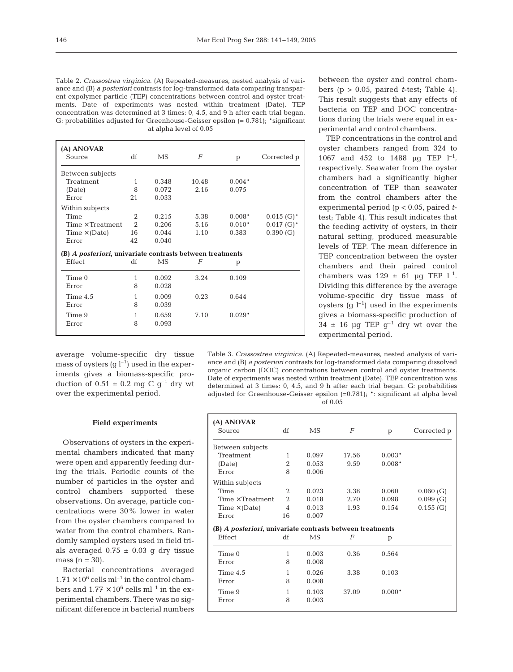Table 2. *Crassostrea virginica.* (A) Repeated-measures, nested analysis of variance and (B) *a posteriori* contrasts for log-transformed data comparing transparent expolymer particle (TEP) concentrations between control and oyster treatments. Date of experiments was nested within treatment (Date). TEP concentration was determined at 3 times: 0, 4.5, and 9 h after each trial began. G: probabilities adjusted for Greenhouse-Geisser epsilon  $(= 0.781)$ ; \*significant at alpha level of 0.05

| (A) ANOVAR<br>Source                                      | df             | MS.   | F     | p        | Corrected p              |
|-----------------------------------------------------------|----------------|-------|-------|----------|--------------------------|
| Between subjects                                          |                |       |       |          |                          |
| Treatment                                                 | $\mathbf{1}$   | 0.348 | 10.48 | $0.004*$ |                          |
| (Date)                                                    | 8              | 0.072 | 2.16  | 0.075    |                          |
| Error                                                     | 21             | 0.033 |       |          |                          |
| Within subjects                                           |                |       |       |          |                          |
| Time                                                      | 2              | 0.215 | 5.38  | $0.008*$ | $0.015$ (G) <sup>*</sup> |
| $Time \times Treatment$                                   | $\mathfrak{D}$ | 0.206 | 5.16  | $0.010*$ | $0.017$ (G) <sup>*</sup> |
| $Time \times (Date)$                                      | 16             | 0.044 | 1.10  | 0.383    | 0.390(G)                 |
| Error                                                     | 42             | 0.040 |       |          |                          |
| (B) A posteriori, univariate contrasts between treatments |                |       |       |          |                          |
| Effect                                                    | df             | MS    | F     | p        |                          |
| Time 0                                                    | 1              | 0.092 | 3.24  | 0.109    |                          |
| Error                                                     | 8              | 0.028 |       |          |                          |
| Time $4.5$                                                | 1              | 0.009 | 0.23  | 0.644    |                          |
| Error                                                     | 8              | 0.039 |       |          |                          |
| Time 9                                                    | $\mathbf{1}$   | 0.659 | 7.10  | $0.029*$ |                          |
| Error                                                     | 8              | 0.093 |       |          |                          |

between the oyster and control chambers ( $p > 0.05$ , paired *t*-test; Table 4). This result suggests that any effects of bacteria on TEP and DOC concentrations during the trials were equal in experimental and control chambers.

TEP concentrations in the control and oyster chambers ranged from 324 to 1067 and 452 to 1488 µg TEP  $l^{-1}$ , respectively. Seawater from the oyster chambers had a significantly higher concentration of TEP than seawater from the control chambers after the experimental period (p < 0.05, paired *t*test; Table 4). This result indicates that the feeding activity of oysters, in their natural setting, produced measurable levels of TEP. The mean difference in TEP concentration between the oyster chambers and their paired control chambers was  $129 \pm 61$  µg TEP  $l^{-1}$ . Dividing this difference by the average volume-specific dry tissue mass of oysters (g  $l^{-1}$ ) used in the experiments gives a biomass-specific production of  $34 \pm 16$  µg TEP g<sup>-1</sup> dry wt over the experimental period.

average volume-specific dry tissue mass of oysters  $(q l^{-1})$  used in the experiments gives a biomass-specific production of  $0.51 \pm 0.2$  mg C g<sup>-1</sup> dry wt over the experimental period.

Table 3. *Crassostrea virginica.* (A) Repeated-measures, nested analysis of variance and (B) *a posteriori* contrasts for log-transformed data comparing dissolved organic carbon (DOC) concentrations between control and oyster treatments. Date of experiments was nested within treatment (Date). TEP concentration was determined at 3 times: 0, 4.5, and 9 h after each trial began. G: probabilities adjusted for Greenhouse-Geisser epsilon (=0.781); \*: significant at alpha level of 0.05

#### **Field experiments**

Observations of oysters in the experimental chambers indicated that many were open and apparently feeding during the trials. Periodic counts of the number of particles in the oyster and control chambers supported these observations. On average, particle concentrations were 30% lower in water from the oyster chambers compared to water from the control chambers. Randomly sampled oysters used in field trials averaged  $0.75 \pm 0.03$  g dry tissue mass  $(n = 30)$ .

Bacterial concentrations averaged  $1.71 \times 10^6$  cells ml<sup>-1</sup> in the control chambers and  $1.77 \times 10^6$  cells ml<sup>-1</sup> in the experimental chambers. There was no significant difference in bacterial numbers

| (A) ANOVAR                                                |                |       |                |          |             |
|-----------------------------------------------------------|----------------|-------|----------------|----------|-------------|
| Source                                                    | df             | MS    | $\overline{F}$ | p        | Corrected p |
| Between subjects                                          |                |       |                |          |             |
| Treatment                                                 | 1              | 0.097 | 17.56          | $0.003*$ |             |
| (Date)                                                    | 2              | 0.053 | 9.59           | $0.008*$ |             |
| Error                                                     | 8              | 0.006 |                |          |             |
| Within subjects                                           |                |       |                |          |             |
| Time                                                      | $\overline{2}$ | 0.023 | 3.38           | 0.060    | 0.060(G)    |
| Time $\times$ Treatment                                   | $\overline{2}$ | 0.018 | 2.70           | 0.098    | 0.099(G)    |
| $Time \times (Date)$                                      | 4              | 0.013 | 1.93           | 0.154    | $0.155$ (G) |
| Error                                                     | 16             | 0.007 |                |          |             |
| (B) A posteriori, univariate contrasts between treatments |                |       |                |          |             |
| Effect                                                    | df             | MS    | F              | p        |             |
| Time 0                                                    | 1              | 0.003 | 0.36           | 0.564    |             |
| Error                                                     | 8              | 0.008 |                |          |             |
| Time $4.5$                                                | 1              | 0.026 | 3.38           | 0.103    |             |
| Error                                                     | 8              | 0.008 |                |          |             |
| Time 9                                                    | 1              | 0.103 | 37.09          | $0.000*$ |             |
| Error                                                     | 8              | 0.003 |                |          |             |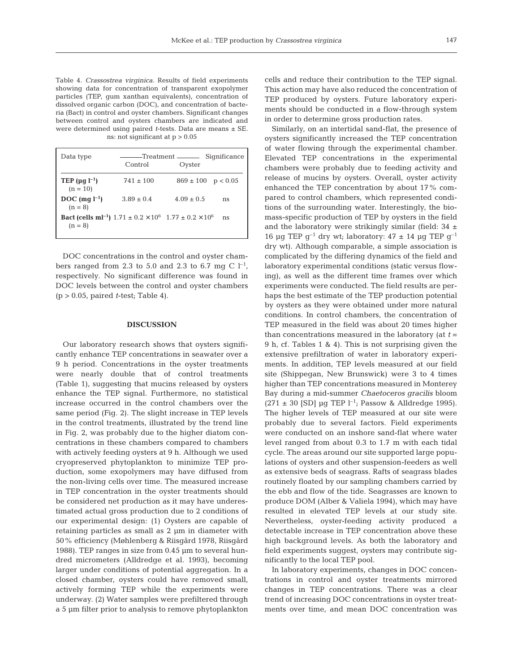147

Table 4. *Crassostrea virginica.* Results of field experiments showing data for concentration of transparent exopolymer particles (TEP, gum xanthan equivalents), concentration of dissolved organic carbon (DOC), and concentration of bacteria (Bact) in control and oyster chambers. Significant changes between control and oysters chambers are indicated and were determined using paired *t*-tests. Data are means ± SE. ns: not significant at p > 0.05

| Data type                                     |                                                                                           |                        | Significance |
|-----------------------------------------------|-------------------------------------------------------------------------------------------|------------------------|--------------|
|                                               | Control                                                                                   | Oyster                 |              |
| TEP ( $\mu$ g l <sup>-1</sup> )<br>$(n = 10)$ | $741 \pm 100$                                                                             | $869 \pm 100$ p < 0.05 |              |
| $DOC$ (mq $l^{-1}$ )<br>$(n = 8)$             | $3.89 \pm 0.4$                                                                            | $4.09 + 0.5$           | ns           |
| $(n = 8)$                                     | <b>Bact (cells ml<sup>-1</sup>)</b> $1.71 \pm 0.2 \times 10^6$ $1.77 \pm 0.2 \times 10^6$ |                        | ns           |

DOC concentrations in the control and oyster chambers ranged from 2.3 to 5.0 and 2.3 to 6.7 mg C  $1^{-1}$ , respectively. No significant difference was found in DOC levels between the control and oyster chambers (p > 0.05, paired *t*-test; Table 4).

## **DISCUSSION**

Our laboratory research shows that oysters significantly enhance TEP concentrations in seawater over a 9 h period. Concentrations in the oyster treatments were nearly double that of control treatments (Table 1), suggesting that mucins released by oysters enhance the TEP signal. Furthermore, no statistical increase occurred in the control chambers over the same period (Fig. 2). The slight increase in TEP levels in the control treatments, illustrated by the trend line in Fig. 2, was probably due to the higher diatom concentrations in these chambers compared to chambers with actively feeding oysters at 9 h. Although we used cryopreserved phytoplankton to minimize TEP production, some exopolymers may have diffused from the non-living cells over time. The measured increase in TEP concentration in the oyster treatments should be considered net production as it may have underestimated actual gross production due to 2 conditions of our experimental design: (1) Oysters are capable of retaining particles as small as 2 µm in diameter with 50% efficiency (Møhlenberg & Riisgård 1978, Riisgård 1988). TEP ranges in size from 0.45 µm to several hundred micrometers (Alldredge et al. 1993), becoming larger under conditions of potential aggregation. In a closed chamber, oysters could have removed small, actively forming TEP while the experiments were underway. (2) Water samples were prefiltered through a 5 µm filter prior to analysis to remove phytoplankton

cells and reduce their contribution to the TEP signal. This action may have also reduced the concentration of TEP produced by oysters. Future laboratory experiments should be conducted in a flow-through system in order to determine gross production rates.

Similarly, on an intertidal sand-flat, the presence of oysters significantly increased the TEP concentration of water flowing through the experimental chamber. Elevated TEP concentrations in the experimental chambers were probably due to feeding activity and release of mucins by oysters. Overall, oyster activity enhanced the TEP concentration by about 17% compared to control chambers, which represented conditions of the surrounding water. Interestingly, the biomass-specific production of TEP by oysters in the field and the laboratory were strikingly similar (field:  $34 \pm$ 16 µg TEP  $g^{-1}$  dry wt; laboratory:  $47 \pm 14$  µg TEP  $g^{-1}$ dry wt). Although comparable, a simple association is complicated by the differing dynamics of the field and laboratory experimental conditions (static versus flowing), as well as the different time frames over which experiments were conducted. The field results are perhaps the best estimate of the TEP production potential by oysters as they were obtained under more natural conditions. In control chambers, the concentration of TEP measured in the field was about 20 times higher than concentrations measured in the laboratory (at *t* = 9 h, cf. Tables 1 & 4). This is not surprising given the extensive prefiltration of water in laboratory experiments. In addition, TEP levels measured at our field site (Shippegan, New Brunswick) were 3 to 4 times higher than TEP concentrations measured in Monterey Bay during a mid-summer *Chaetoceros gracilis* bloom  $(271 \pm 30 \text{ [SD]} \text{ µq TEP } l^{-1}$ ; Passow & Alldredge 1995). The higher levels of TEP measured at our site were probably due to several factors. Field experiments were conducted on an inshore sand-flat where water level ranged from about 0.3 to 1.7 m with each tidal cycle. The areas around our site supported large populations of oysters and other suspension-feeders as well as extensive beds of seagrass. Rafts of seagrass blades routinely floated by our sampling chambers carried by the ebb and flow of the tide. Seagrasses are known to produce DOM (Alber & Valiela 1994), which may have resulted in elevated TEP levels at our study site. Nevertheless, oyster-feeding activity produced a detectable increase in TEP concentration above these high background levels. As both the laboratory and field experiments suggest, oysters may contribute significantly to the local TEP pool.

In laboratory experiments, changes in DOC concentrations in control and oyster treatments mirrored changes in TEP concentrations. There was a clear trend of increasing DOC concentrations in oyster treatments over time, and mean DOC concentration was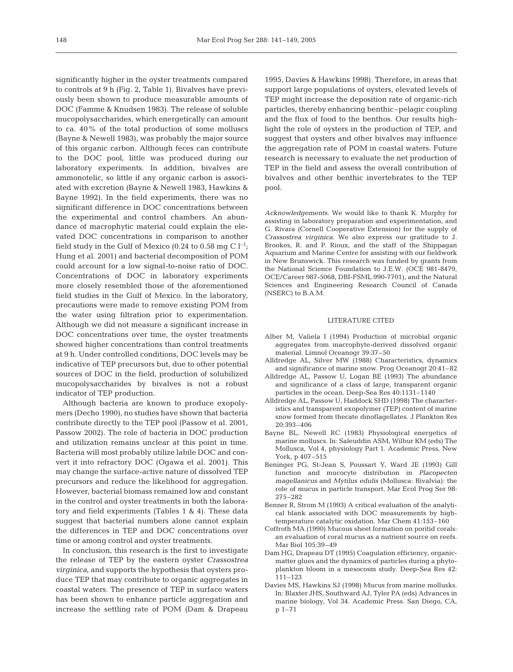significantly higher in the oyster treatments compared to controls at 9 h (Fig. 2, Table 1). Bivalves have previously been shown to produce measurable amounts of DOC (Famme & Knudsen 1983). The release of soluble mucopolysaccharides, which energetically can amount to ca. 40% of the total production of some molluscs (Bayne & Newell 1983), was probably the major source of this organic carbon. Although feces can contribute to the DOC pool, little was produced during our laboratory experiments. In addition, bivalves are ammonotelic, so little if any organic carbon is associated with excretion (Bayne & Newell 1983, Hawkins & Bayne 1992). In the field experiments, there was no significant difference in DOC concentrations between the experimental and control chambers. An abundance of macrophytic material could explain the elevated DOC concentrations in comparison to another field study in the Gulf of Mexico (0.24 to 0.58 mg C  $l^{-1}$ ; Hung et al. 2001) and bacterial decomposition of POM could account for a low signal-to-noise ratio of DOC. Concentrations of DOC in laboratory experiments more closely resembled those of the aforementioned field studies in the Gulf of Mexico. In the laboratory, precautions were made to remove existing POM from the water using filtration prior to experimentation. Although we did not measure a significant increase in DOC concentrations over time, the oyster treatments showed higher concentrations than control treatments at 9 h. Under controlled conditions, DOC levels may be indicative of TEP precursors but, due to other potential sources of DOC in the field, production of solubilized mucopolysaccharides by bivalves is not a robust indicator of TEP production.

Although bacteria are known to produce exopolymers (Decho 1990), no studies have shown that bacteria contribute directly to the TEP pool (Passow et al. 2001, Passow 2002). The role of bacteria in DOC production and utilization remains unclear at this point in time. Bacteria will most probably utilize labile DOC and convert it into refractory DOC (Ogawa et al. 2001). This may change the surface-active nature of dissolved TEP precursors and reduce the likelihood for aggregation. However, bacterial biomass remained low and constant in the control and oyster treatments in both the laboratory and field experiments (Tables 1 & 4). These data suggest that bacterial numbers alone cannot explain the differences in TEP and DOC concentrations over time or among control and oyster treatments.

In conclusion, this research is the first to investigate the release of TEP by the eastern oyster *Crassostrea virginica*, and supports the hypothesis that oysters produce TEP that may contribute to organic aggregates in coastal waters. The presence of TEP in surface waters has been shown to enhance particle aggregation and increase the settling rate of POM (Dam & Drapeau

1995, Davies & Hawkins 1998). Therefore, in areas that support large populations of oysters, elevated levels of TEP might increase the deposition rate of organic-rich particles, thereby enhancing benthic–pelagic coupling and the flux of food to the benthos. Our results highlight the role of oysters in the production of TEP, and suggest that oysters and other bivalves may influence the aggregation rate of POM in coastal waters. Future research is necessary to evaluate the net production of TEP in the field and assess the overall contribution of bivalves and other benthic invertebrates to the TEP pool.

*Acknowledgements.* We would like to thank K. Murphy for assisting in laboratory preparation and experimentation, and G. Rivara (Cornell Cooperative Extension) for the supply of *Crassostrea virginica*. We also express our gratitude to J. Brookes, R. and P. Rioux, and the staff of the Shippagan Aquarium and Marine Centre for assisting with our fieldwork in New Brunswick. This research was funded by grants from the National Science Foundation to J.E.W. (OCE 981-8479, OCE/Career 987-5068, DBI-FSML 990-7701), and the Natural Sciences and Engineering Research Council of Canada (NSERC) to B.A.M.

## LITERATURE CITED

- Alber M, Valiela I (1994) Production of microbial organic aggregates from macrophyte-derived dissolved organic material. Limnol Oceanogr 39:37–50
- Alldredge AL, Silver MW (1988) Characteristics, dynamics and significance of marine snow. Prog Oceanogr 20:41–82
- Alldredge AL, Passow U, Logan BE (1993) The abundance and significance of a class of large, transparent organic particles in the ocean. Deep-Sea Res 40:1131–1140
- Alldredge AL, Passow U, Haddock SHD (1998) The characteristics and transparent exopolymer (TEP) content of marine snow formed from thecate dinoflagellates. J Plankton Res 20:393–406
- Bayne BL, Newell RC (1983) Physiological energetics of marine molluscs. In: Saleuddin ASM, Wilbur KM (eds) The Mollusca, Vol 4, physiology Part 1. Academic Press, New York, p 407–515
- Beninger PG, St-Jean S, Poussart Y, Ward JE (1993) Gill function and mucocyte distribution in *Placopecten magellanicus* and *Mytilus edulis* (Mollusca: Bivalvia): the role of mucus in particle transport. Mar Ecol Prog Ser 98: 275–282
- Benner R, Strom M (1993) A critical evaluation of the analytical blank associated with DOC measurements by hightemperature catalytic oxidation. Mar Chem 41:153–160
- Coffroth MA (1990) Mucous sheet formation on poritid corals: an evaluation of coral mucus as a nutrient source on reefs. Mar Biol 105:39–49
- Dam HG, Drapeau DT (1995) Coagulation efficiency, organicmatter glues and the dynamics of particles during a phytoplankton bloom in a mesocosm study. Deep-Sea Res 42: 111–123
- Davies MS, Hawkins SJ (1998) Mucus from marine mollusks. In: Blaxter JHS, Southward AJ, Tyler PA (eds) Advances in marine biology, Vol 34. Academic Press. San Diego, CA, p 1–71